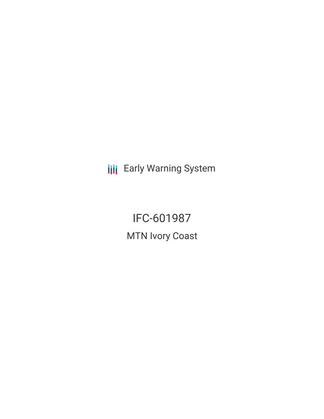**III** Early Warning System

IFC-601987 MTN Ivory Coast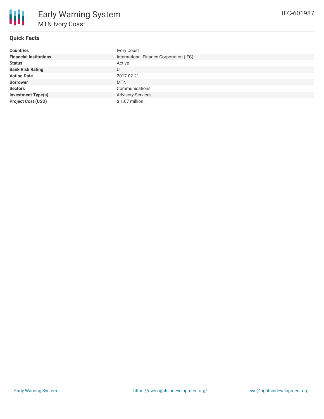

# **Quick Facts**

| <b>Countries</b>              | <b>Ivory Coast</b>                      |
|-------------------------------|-----------------------------------------|
| <b>Financial Institutions</b> | International Finance Corporation (IFC) |
| <b>Status</b>                 | Active                                  |
| <b>Bank Risk Rating</b>       | U                                       |
| <b>Voting Date</b>            | 2017-02-21                              |
| <b>Borrower</b>               | <b>MTN</b>                              |
| <b>Sectors</b>                | Communications                          |
| <b>Investment Type(s)</b>     | <b>Advisory Services</b>                |
| <b>Project Cost (USD)</b>     | $$1.07$ million                         |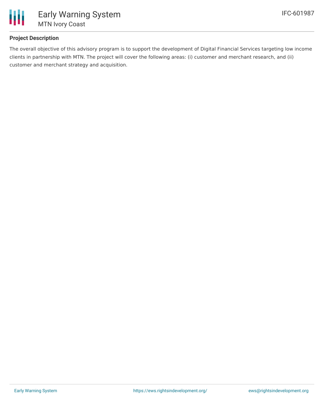

### **Project Description**

The overall objective of this advisory program is to support the development of Digital Financial Services targeting low income clients in partnership with MTN. The project will cover the following areas: (i) customer and merchant research, and (ii) customer and merchant strategy and acquisition.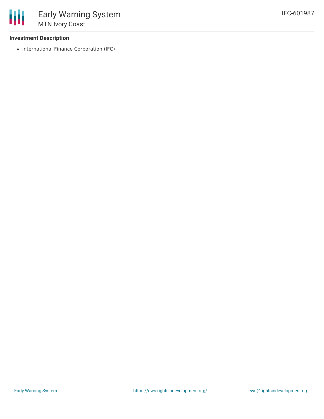### **Investment Description**

• International Finance Corporation (IFC)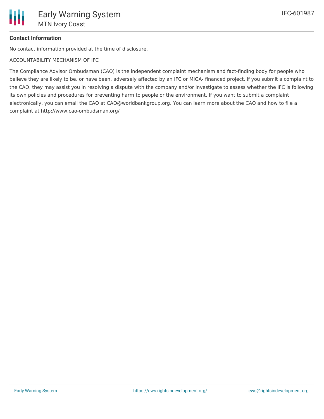# **Contact Information**

No contact information provided at the time of disclosure.

ACCOUNTABILITY MECHANISM OF IFC

The Compliance Advisor Ombudsman (CAO) is the independent complaint mechanism and fact-finding body for people who believe they are likely to be, or have been, adversely affected by an IFC or MIGA- financed project. If you submit a complaint to the CAO, they may assist you in resolving a dispute with the company and/or investigate to assess whether the IFC is following its own policies and procedures for preventing harm to people or the environment. If you want to submit a complaint electronically, you can email the CAO at CAO@worldbankgroup.org. You can learn more about the CAO and how to file a complaint at http://www.cao-ombudsman.org/